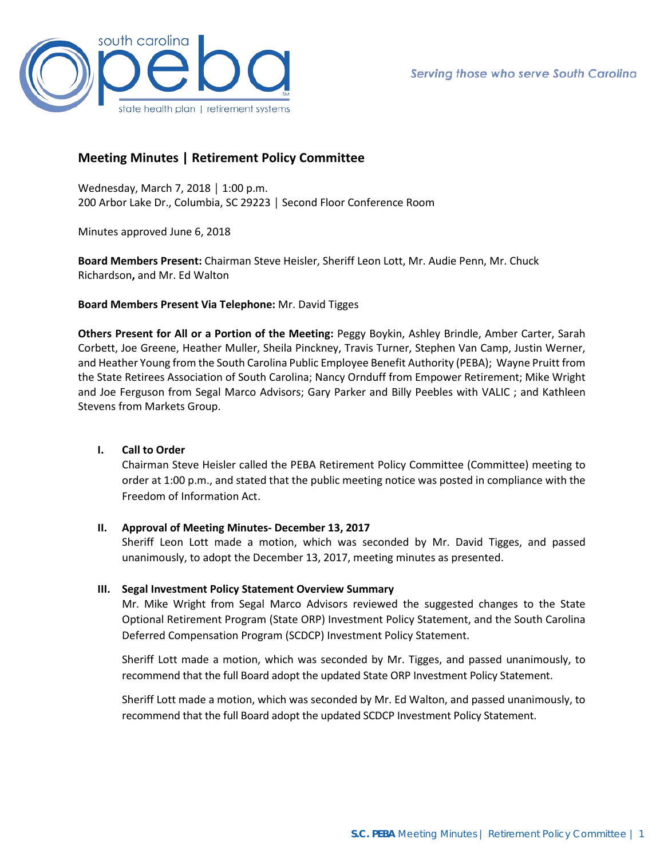

# **Meeting Minutes | Retirement Policy Committee**

Wednesday, March 7, 2018 │ 1:00 p.m. 200 Arbor Lake Dr., Columbia, SC 29223 │ Second Floor Conference Room

Minutes approved June 6, 2018

**Board Members Present:** Chairman Steve Heisler, Sheriff Leon Lott, Mr. Audie Penn, Mr. Chuck Richardson**,** and Mr. Ed Walton

# **Board Members Present Via Telephone:** Mr. David Tigges

**Others Present for All or a Portion of the Meeting:** Peggy Boykin, Ashley Brindle, Amber Carter, Sarah Corbett, Joe Greene, Heather Muller, Sheila Pinckney, Travis Turner, Stephen Van Camp, Justin Werner, and Heather Young from the South Carolina Public Employee Benefit Authority (PEBA); Wayne Pruitt from the State Retirees Association of South Carolina; Nancy Ornduff from Empower Retirement; Mike Wright and Joe Ferguson from Segal Marco Advisors; Gary Parker and Billy Peebles with VALIC ; and Kathleen Stevens from Markets Group.

### **I. Call to Order**

Chairman Steve Heisler called the PEBA Retirement Policy Committee (Committee) meeting to order at 1:00 p.m., and stated that the public meeting notice was posted in compliance with the Freedom of Information Act.

### **II. Approval of Meeting Minutes- December 13, 2017**

Sheriff Leon Lott made a motion, which was seconded by Mr. David Tigges, and passed unanimously, to adopt the December 13, 2017, meeting minutes as presented.

### **III. Segal Investment Policy Statement Overview Summary**

Mr. Mike Wright from Segal Marco Advisors reviewed the suggested changes to the State Optional Retirement Program (State ORP) Investment Policy Statement, and the South Carolina Deferred Compensation Program (SCDCP) Investment Policy Statement.

Sheriff Lott made a motion, which was seconded by Mr. Tigges, and passed unanimously, to recommend that the full Board adopt the updated State ORP Investment Policy Statement.

Sheriff Lott made a motion, which was seconded by Mr. Ed Walton, and passed unanimously, to recommend that the full Board adopt the updated SCDCP Investment Policy Statement.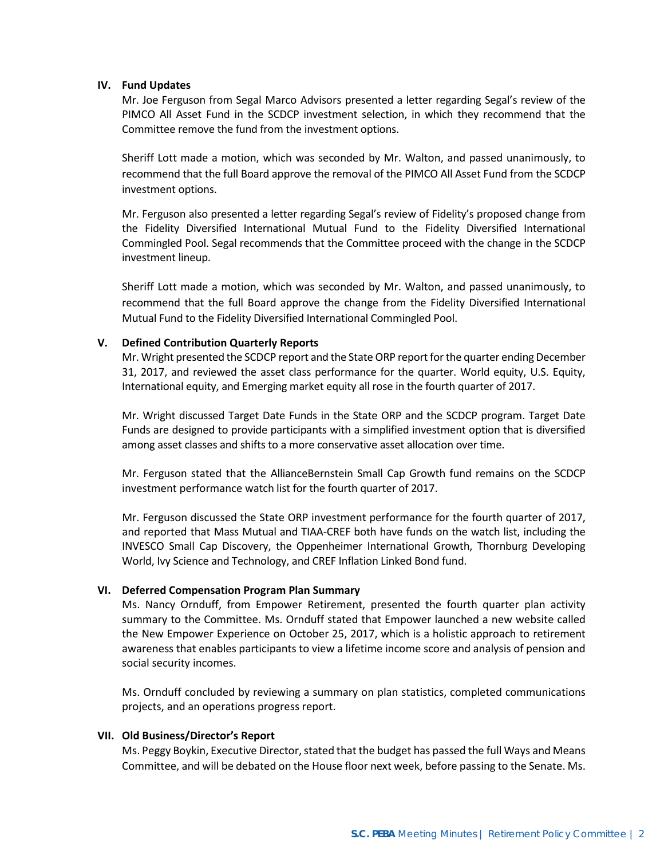### **IV. Fund Updates**

Mr. Joe Ferguson from Segal Marco Advisors presented a letter regarding Segal's review of the PIMCO All Asset Fund in the SCDCP investment selection, in which they recommend that the Committee remove the fund from the investment options.

Sheriff Lott made a motion, which was seconded by Mr. Walton, and passed unanimously, to recommend that the full Board approve the removal of the PIMCO All Asset Fund from the SCDCP investment options.

Mr. Ferguson also presented a letter regarding Segal's review of Fidelity's proposed change from the Fidelity Diversified International Mutual Fund to the Fidelity Diversified International Commingled Pool. Segal recommends that the Committee proceed with the change in the SCDCP investment lineup.

Sheriff Lott made a motion, which was seconded by Mr. Walton, and passed unanimously, to recommend that the full Board approve the change from the Fidelity Diversified International Mutual Fund to the Fidelity Diversified International Commingled Pool.

# **V. Defined Contribution Quarterly Reports**

Mr. Wright presented the SCDCP report and the State ORP report for the quarter ending December 31, 2017, and reviewed the asset class performance for the quarter. World equity, U.S. Equity, International equity, and Emerging market equity all rose in the fourth quarter of 2017.

Mr. Wright discussed Target Date Funds in the State ORP and the SCDCP program. Target Date Funds are designed to provide participants with a simplified investment option that is diversified among asset classes and shifts to a more conservative asset allocation over time.

Mr. Ferguson stated that the AllianceBernstein Small Cap Growth fund remains on the SCDCP investment performance watch list for the fourth quarter of 2017.

Mr. Ferguson discussed the State ORP investment performance for the fourth quarter of 2017, and reported that Mass Mutual and TIAA-CREF both have funds on the watch list, including the INVESCO Small Cap Discovery, the Oppenheimer International Growth, Thornburg Developing World, Ivy Science and Technology, and CREF Inflation Linked Bond fund.

### **VI. Deferred Compensation Program Plan Summary**

Ms. Nancy Ornduff, from Empower Retirement, presented the fourth quarter plan activity summary to the Committee. Ms. Ornduff stated that Empower launched a new website called the New Empower Experience on October 25, 2017, which is a holistic approach to retirement awareness that enables participants to view a lifetime income score and analysis of pension and social security incomes.

Ms. Ornduff concluded by reviewing a summary on plan statistics, completed communications projects, and an operations progress report.

### **VII. Old Business/Director's Report**

Ms. Peggy Boykin, Executive Director, stated that the budget has passed the full Ways and Means Committee, and will be debated on the House floor next week, before passing to the Senate. Ms.